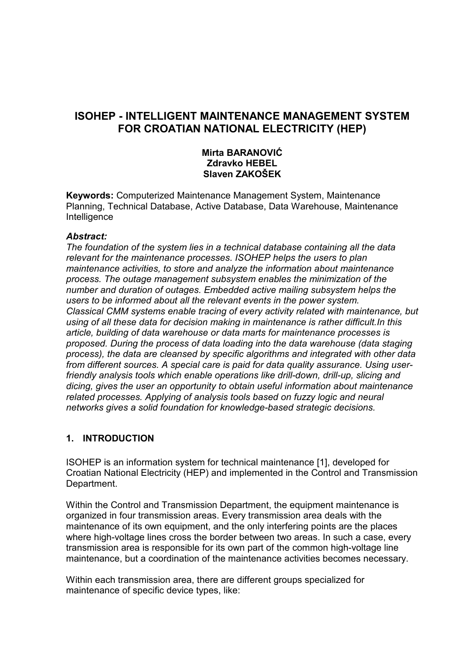# **ISOHEP - INTELLIGENT MAINTENANCE MANAGEMENT SYSTEM FOR CROATIAN NATIONAL ELECTRICITY (HEP)**

#### **Mirta BARANOVIĆ Zdravko HEBEL Slaven ZAKOŠEK**

**Keywords:** Computerized Maintenance Management System, Maintenance Planning, Technical Database, Active Database, Data Warehouse, Maintenance **Intelligence** 

#### *Abstract:*

*The foundation of the system lies in a technical database containing all the data relevant for the maintenance processes*. *ISOHEP helps the users to plan maintenance activities, to store and analyze the information about maintenance process. The outage management subsystem enables the minimization of the number and duration of outages. Embedded active mailing subsystem helps the users to be informed about all the relevant events in the power system. Classical CMM systems enable tracing of every activity related with maintenance, but using of all these data for decision making in maintenance is rather difficult.In this article, building of data warehouse or data marts for maintenance processes is proposed. During the process of data loading into the data warehouse (data staging process), the data are cleansed by specific algorithms and integrated with other data from different sources. A special care is paid for data quality assurance. Using userfriendly analysis tools which enable operations like drill-down, drill-up, slicing and dicing, gives the user an opportunity to obtain useful information about maintenance related processes. Applying of analysis tools based on fuzzy logic and neural networks gives a solid foundation for knowledge-based strategic decisions.* 

#### **1. INTRODUCTION**

ISOHEP is an information system for technical maintenance [1], developed for Croatian National Electricity (HEP) and implemented in the Control and Transmission Department.

Within the Control and Transmission Department, the equipment maintenance is organized in four transmission areas. Every transmission area deals with the maintenance of its own equipment, and the only interfering points are the places where high-voltage lines cross the border between two areas. In such a case, every transmission area is responsible for its own part of the common high-voltage line maintenance, but a coordination of the maintenance activities becomes necessary.

Within each transmission area, there are different groups specialized for maintenance of specific device types, like: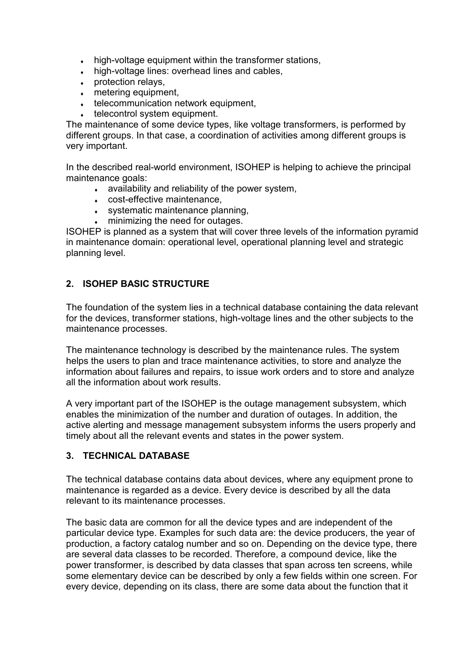- high-voltage equipment within the transformer stations,
- high-voltage lines: overhead lines and cables.
- $\cdot$  protection relays,
- $\bullet$  metering equipment,
- $\cdot$  telecommunication network equipment,
- $\cdot$  telecontrol system equipment.

The maintenance of some device types, like voltage transformers, is performed by different groups. In that case, a coordination of activities among different groups is very important.

In the described real-world environment, ISOHEP is helping to achieve the principal maintenance goals:

- $\bullet$  availability and reliability of the power system,
- $\cdot$  cost-effective maintenance,
- $\cdot$  systematic maintenance planning,
- $\cdot$  minimizing the need for outages.

ISOHEP is planned as a system that will cover three levels of the information pyramid in maintenance domain: operational level, operational planning level and strategic planning level.

## **2. ISOHEP BASIC STRUCTURE**

The foundation of the system lies in a technical database containing the data relevant for the devices, transformer stations, high-voltage lines and the other subjects to the maintenance processes.

The maintenance technology is described by the maintenance rules. The system helps the users to plan and trace maintenance activities, to store and analyze the information about failures and repairs, to issue work orders and to store and analyze all the information about work results.

A very important part of the ISOHEP is the outage management subsystem, which enables the minimization of the number and duration of outages. In addition, the active alerting and message management subsystem informs the users properly and timely about all the relevant events and states in the power system.

## **3. TECHNICAL DATABASE**

The technical database contains data about devices, where any equipment prone to maintenance is regarded as a device. Every device is described by all the data relevant to its maintenance processes.

The basic data are common for all the device types and are independent of the particular device type. Examples for such data are: the device producers, the year of production, a factory catalog number and so on. Depending on the device type, there are several data classes to be recorded. Therefore, a compound device, like the power transformer, is described by data classes that span across ten screens, while some elementary device can be described by only a few fields within one screen. For every device, depending on its class, there are some data about the function that it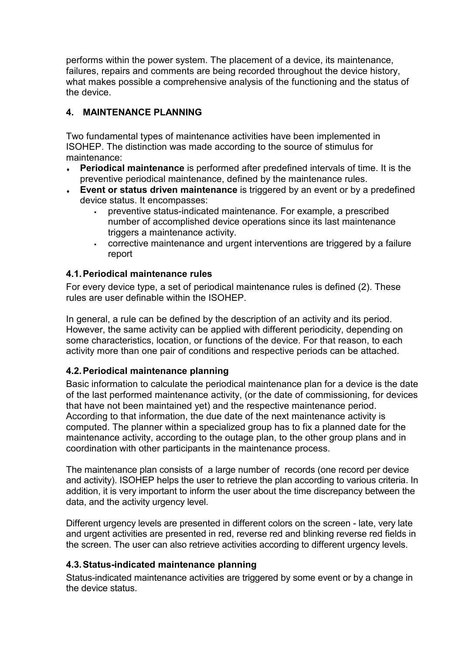performs within the power system. The placement of a device, its maintenance, failures, repairs and comments are being recorded throughout the device history, what makes possible a comprehensive analysis of the functioning and the status of the device.

# **4. MAINTENANCE PLANNING**

Two fundamental types of maintenance activities have been implemented in ISOHEP. The distinction was made according to the source of stimulus for maintenance:

- ♦ **Periodical maintenance** is performed after predefined intervals of time. It is the preventive periodical maintenance, defined by the maintenance rules.
- **Event or status driven maintenance** is triggered by an event or by a predefined device status. It encompasses:
	- preventive status-indicated maintenance. For example, a prescribed number of accomplished device operations since its last maintenance triggers a maintenance activity.
	- corrective maintenance and urgent interventions are triggered by a failure report

## **4.1. Periodical maintenance rules**

For every device type, a set of periodical maintenance rules is defined (2). These rules are user definable within the ISOHEP.

In general, a rule can be defined by the description of an activity and its period. However, the same activity can be applied with different periodicity, depending on some characteristics, location, or functions of the device. For that reason, to each activity more than one pair of conditions and respective periods can be attached.

## **4.2. Periodical maintenance planning**

Basic information to calculate the periodical maintenance plan for a device is the date of the last performed maintenance activity, (or the date of commissioning, for devices that have not been maintained yet) and the respective maintenance period. According to that information, the due date of the next maintenance activity is computed. The planner within a specialized group has to fix a planned date for the maintenance activity, according to the outage plan, to the other group plans and in coordination with other participants in the maintenance process.

The maintenance plan consists of a large number of records (one record per device and activity). ISOHEP helps the user to retrieve the plan according to various criteria. In addition, it is very important to inform the user about the time discrepancy between the data, and the activity urgency level.

Different urgency levels are presented in different colors on the screen - late, very late and urgent activities are presented in red, reverse red and blinking reverse red fields in the screen. The user can also retrieve activities according to different urgency levels.

## **4.3. Status-indicated maintenance planning**

Status-indicated maintenance activities are triggered by some event or by a change in the device status.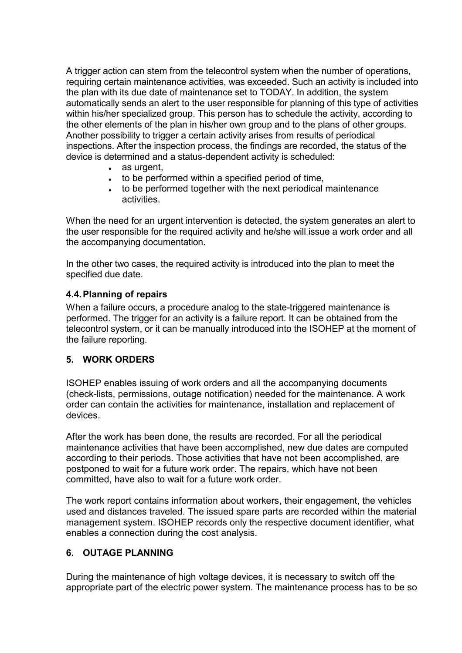A trigger action can stem from the telecontrol system when the number of operations, requiring certain maintenance activities, was exceeded. Such an activity is included into the plan with its due date of maintenance set to TODAY. In addition, the system automatically sends an alert to the user responsible for planning of this type of activities within his/her specialized group. This person has to schedule the activity, according to the other elements of the plan in his/her own group and to the plans of other groups. Another possibility to trigger a certain activity arises from results of periodical inspections. After the inspection process, the findings are recorded, the status of the device is determined and a status-dependent activity is scheduled:

- $\cdot$  as urgent.
- $\cdot$  to be performed within a specified period of time,
- $\cdot$  to be performed together with the next periodical maintenance activities.

When the need for an urgent intervention is detected, the system generates an alert to the user responsible for the required activity and he/she will issue a work order and all the accompanying documentation.

In the other two cases, the required activity is introduced into the plan to meet the specified due date.

### **4.4. Planning of repairs**

When a failure occurs, a procedure analog to the state-triggered maintenance is performed. The trigger for an activity is a failure report. It can be obtained from the telecontrol system, or it can be manually introduced into the ISOHEP at the moment of the failure reporting.

#### **5. WORK ORDERS**

ISOHEP enables issuing of work orders and all the accompanying documents (check-lists, permissions, outage notification) needed for the maintenance. A work order can contain the activities for maintenance, installation and replacement of devices.

After the work has been done, the results are recorded. For all the periodical maintenance activities that have been accomplished, new due dates are computed according to their periods. Those activities that have not been accomplished, are postponed to wait for a future work order. The repairs, which have not been committed, have also to wait for a future work order.

The work report contains information about workers, their engagement, the vehicles used and distances traveled. The issued spare parts are recorded within the material management system. ISOHEP records only the respective document identifier, what enables a connection during the cost analysis.

## **6. OUTAGE PLANNING**

During the maintenance of high voltage devices, it is necessary to switch off the appropriate part of the electric power system. The maintenance process has to be so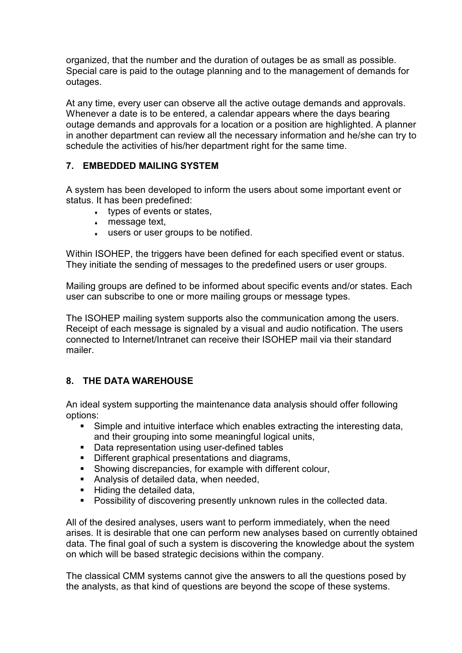organized, that the number and the duration of outages be as small as possible. Special care is paid to the outage planning and to the management of demands for outages.

At any time, every user can observe all the active outage demands and approvals. Whenever a date is to be entered, a calendar appears where the days bearing outage demands and approvals for a location or a position are highlighted. A planner in another department can review all the necessary information and he/she can try to schedule the activities of his/her department right for the same time.

## **7. EMBEDDED MAILING SYSTEM**

A system has been developed to inform the users about some important event or status. It has been predefined:

- $\cdot$  types of events or states,
- $\bullet$  message text,
- $\cdot$  users or user groups to be notified.

Within ISOHEP, the triggers have been defined for each specified event or status. They initiate the sending of messages to the predefined users or user groups.

Mailing groups are defined to be informed about specific events and/or states. Each user can subscribe to one or more mailing groups or message types.

The ISOHEP mailing system supports also the communication among the users. Receipt of each message is signaled by a visual and audio notification. The users connected to Internet/Intranet can receive their ISOHEP mail via their standard mailer.

## **8. THE DATA WAREHOUSE**

An ideal system supporting the maintenance data analysis should offer following options:

- Simple and intuitive interface which enables extracting the interesting data, and their grouping into some meaningful logical units,
- Data representation using user-defined tables
- Different graphical presentations and diagrams,
- Showing discrepancies, for example with different colour,
- Analysis of detailed data, when needed,
- Hiding the detailed data,
- **Possibility of discovering presently unknown rules in the collected data.**

All of the desired analyses, users want to perform immediately, when the need arises. It is desirable that one can perform new analyses based on currently obtained data. The final goal of such a system is discovering the knowledge about the system on which will be based strategic decisions within the company.

The classical CMM systems cannot give the answers to all the questions posed by the analysts, as that kind of questions are beyond the scope of these systems.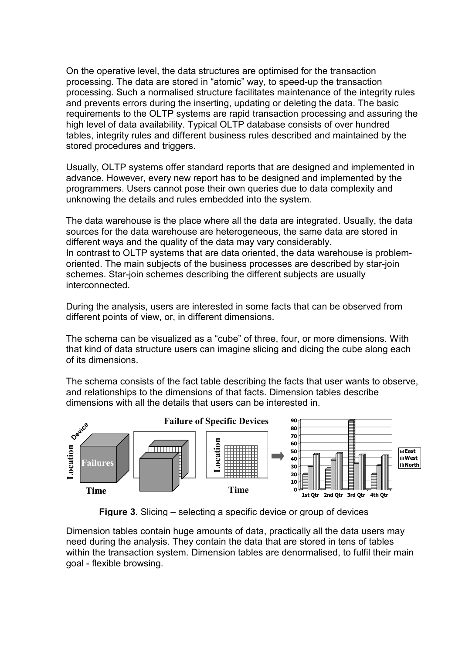On the operative level, the data structures are optimised for the transaction processing. The data are stored in "atomic" way, to speed-up the transaction processing. Such a normalised structure facilitates maintenance of the integrity rules and prevents errors during the inserting, updating or deleting the data. The basic requirements to the OLTP systems are rapid transaction processing and assuring the high level of data availability. Typical OLTP database consists of over hundred tables, integrity rules and different business rules described and maintained by the stored procedures and triggers.

Usually, OLTP systems offer standard reports that are designed and implemented in advance. However, every new report has to be designed and implemented by the programmers. Users cannot pose their own queries due to data complexity and unknowing the details and rules embedded into the system.

The data warehouse is the place where all the data are integrated. Usually, the data sources for the data warehouse are heterogeneous, the same data are stored in different ways and the quality of the data may vary considerably. In contrast to OLTP systems that are data oriented, the data warehouse is problemoriented. The main subjects of the business processes are described by star-join schemes. Star-join schemes describing the different subjects are usually interconnected.

During the analysis, users are interested in some facts that can be observed from different points of view, or, in different dimensions.

The schema can be visualized as a "cube" of three, four, or more dimensions. With that kind of data structure users can imagine slicing and dicing the cube along each of its dimensions.

The schema consists of the fact table describing the facts that user wants to observe, and relationships to the dimensions of that facts. Dimension tables describe dimensions with all the details that users can be interested in.



**Figure 3.** Slicing – selecting a specific device or group of devices

Dimension tables contain huge amounts of data, practically all the data users may need during the analysis. They contain the data that are stored in tens of tables within the transaction system. Dimension tables are denormalised, to fulfil their main goal - flexible browsing.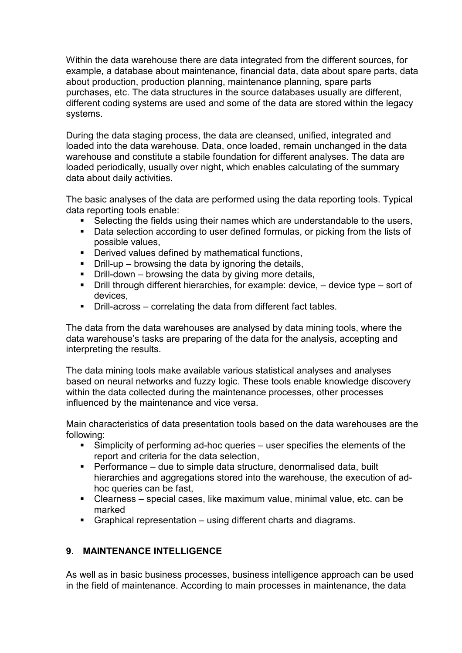Within the data warehouse there are data integrated from the different sources, for example, a database about maintenance, financial data, data about spare parts, data about production, production planning, maintenance planning, spare parts purchases, etc. The data structures in the source databases usually are different, different coding systems are used and some of the data are stored within the legacy systems.

During the data staging process, the data are cleansed, unified, integrated and loaded into the data warehouse. Data, once loaded, remain unchanged in the data warehouse and constitute a stabile foundation for different analyses. The data are loaded periodically, usually over night, which enables calculating of the summary data about daily activities.

The basic analyses of the data are performed using the data reporting tools. Typical data reporting tools enable:

- Selecting the fields using their names which are understandable to the users,
- Data selection according to user defined formulas, or picking from the lists of possible values,
- **•** Derived values defined by mathematical functions,
- Drill-up browsing the data by ignoring the details,
- $\blacksquare$  Drill-down browsing the data by giving more details,
- Drill through different hierarchies, for example: device, device type sort of devices,
- Drill-across correlating the data from different fact tables.

The data from the data warehouses are analysed by data mining tools, where the data warehouse's tasks are preparing of the data for the analysis, accepting and interpreting the results.

The data mining tools make available various statistical analyses and analyses based on neural networks and fuzzy logic. These tools enable knowledge discovery within the data collected during the maintenance processes, other processes influenced by the maintenance and vice versa.

Main characteristics of data presentation tools based on the data warehouses are the following:

- Simplicity of performing ad-hoc queries user specifies the elements of the report and criteria for the data selection,
- Performance due to simple data structure, denormalised data, built hierarchies and aggregations stored into the warehouse, the execution of adhoc queries can be fast,
- Clearness special cases, like maximum value, minimal value, etc. can be marked
- Graphical representation using different charts and diagrams.

## **9. MAINTENANCE INTELLIGENCE**

As well as in basic business processes, business intelligence approach can be used in the field of maintenance. According to main processes in maintenance, the data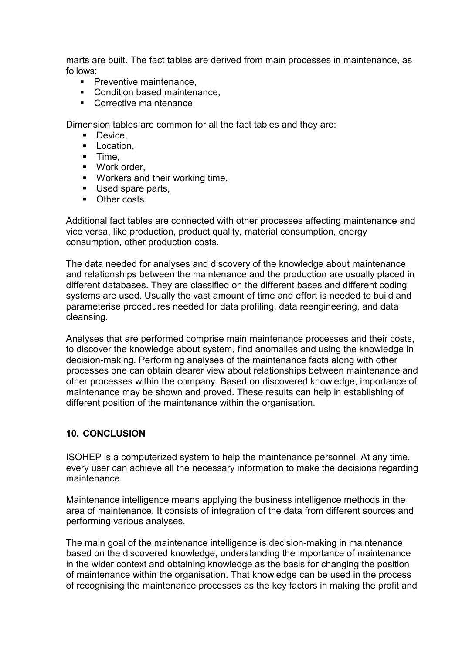marts are built. The fact tables are derived from main processes in maintenance, as follows:

- **Preventive maintenance.**
- Condition based maintenance.
- Corrective maintenance.

Dimension tables are common for all the fact tables and they are:

- **Device.**
- **Location.**
- $-$  Time,
- Work order,
- **Workers and their working time,**
- Used spare parts,
- **•** Other costs.

Additional fact tables are connected with other processes affecting maintenance and vice versa, like production, product quality, material consumption, energy consumption, other production costs.

The data needed for analyses and discovery of the knowledge about maintenance and relationships between the maintenance and the production are usually placed in different databases. They are classified on the different bases and different coding systems are used. Usually the vast amount of time and effort is needed to build and parameterise procedures needed for data profiling, data reengineering, and data cleansing.

Analyses that are performed comprise main maintenance processes and their costs, to discover the knowledge about system, find anomalies and using the knowledge in decision-making. Performing analyses of the maintenance facts along with other processes one can obtain clearer view about relationships between maintenance and other processes within the company. Based on discovered knowledge, importance of maintenance may be shown and proved. These results can help in establishing of different position of the maintenance within the organisation.

## **10. CONCLUSION**

ISOHEP is a computerized system to help the maintenance personnel. At any time, every user can achieve all the necessary information to make the decisions regarding maintenance.

Maintenance intelligence means applying the business intelligence methods in the area of maintenance. It consists of integration of the data from different sources and performing various analyses.

The main goal of the maintenance intelligence is decision-making in maintenance based on the discovered knowledge, understanding the importance of maintenance in the wider context and obtaining knowledge as the basis for changing the position of maintenance within the organisation. That knowledge can be used in the process of recognising the maintenance processes as the key factors in making the profit and